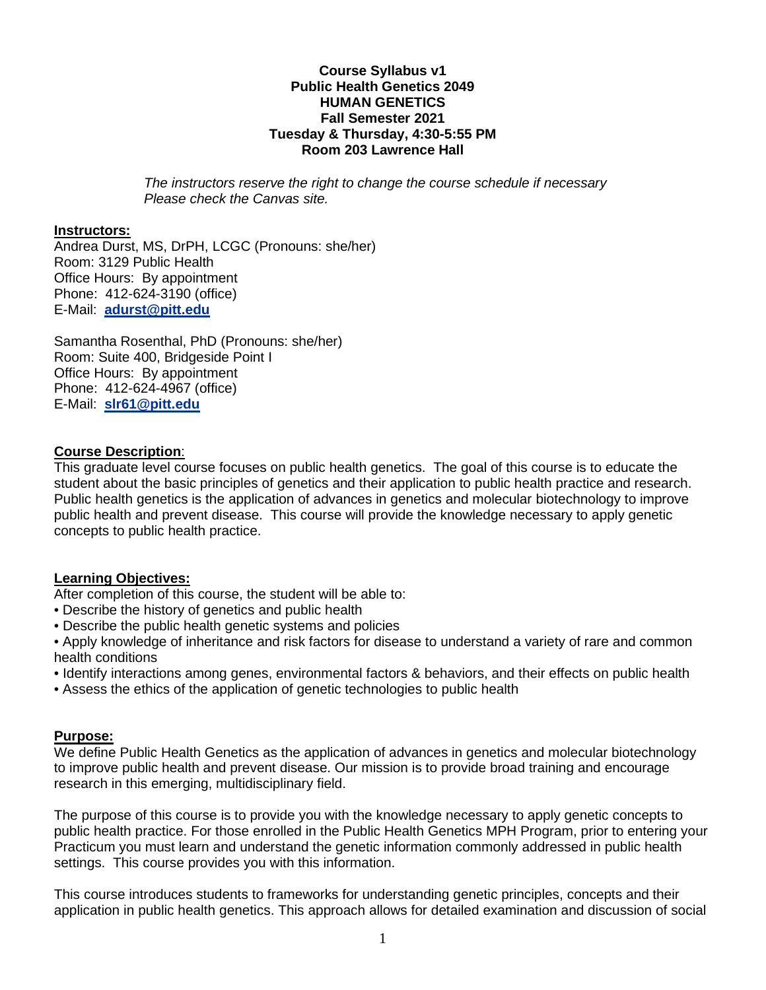#### **Course Syllabus v1 Public Health Genetics 2049 HUMAN GENETICS Fall Semester 2021 Tuesday & Thursday, 4:30-5:55 PM Room 203 Lawrence Hall**

*The instructors reserve the right to change the course schedule if necessary Please check the Canvas site.*

#### **Instructors:**

Andrea Durst, MS, DrPH, LCGC (Pronouns: she/her) Room: 3129 Public Health Office Hours: By appointment Phone: 412-624-3190 (office) E-Mail: **[adurst@pitt.edu](mailto:adurst@pitt.edu)**

Samantha Rosenthal, PhD (Pronouns: she/her) Room: Suite 400, Bridgeside Point I Office Hours: By appointment Phone: 412-624-4967 (office) E-Mail: **[slr61@pitt.edu](mailto:slr61@pitt.edu)**

#### **Course Description**:

This graduate level course focuses on public health genetics. The goal of this course is to educate the student about the basic principles of genetics and their application to public health practice and research. Public health genetics is the application of advances in genetics and molecular biotechnology to improve public health and prevent disease. This course will provide the knowledge necessary to apply genetic concepts to public health practice.

### **Learning Objectives:**

After completion of this course, the student will be able to:

- Describe the history of genetics and public health
- Describe the public health genetic systems and policies
- Apply knowledge of inheritance and risk factors for disease to understand a variety of rare and common health conditions
- Identify interactions among genes, environmental factors & behaviors, and their effects on public health
- Assess the ethics of the application of genetic technologies to public health

#### **Purpose:**

We define Public Health Genetics as the application of advances in genetics and molecular biotechnology to improve public health and prevent disease. Our mission is to provide broad training and encourage research in this emerging, multidisciplinary field.

The purpose of this course is to provide you with the knowledge necessary to apply genetic concepts to public health practice. For those enrolled in the Public Health Genetics MPH Program, prior to entering your Practicum you must learn and understand the genetic information commonly addressed in public health settings. This course provides you with this information.

This course introduces students to frameworks for understanding genetic principles, concepts and their application in public health genetics. This approach allows for detailed examination and discussion of social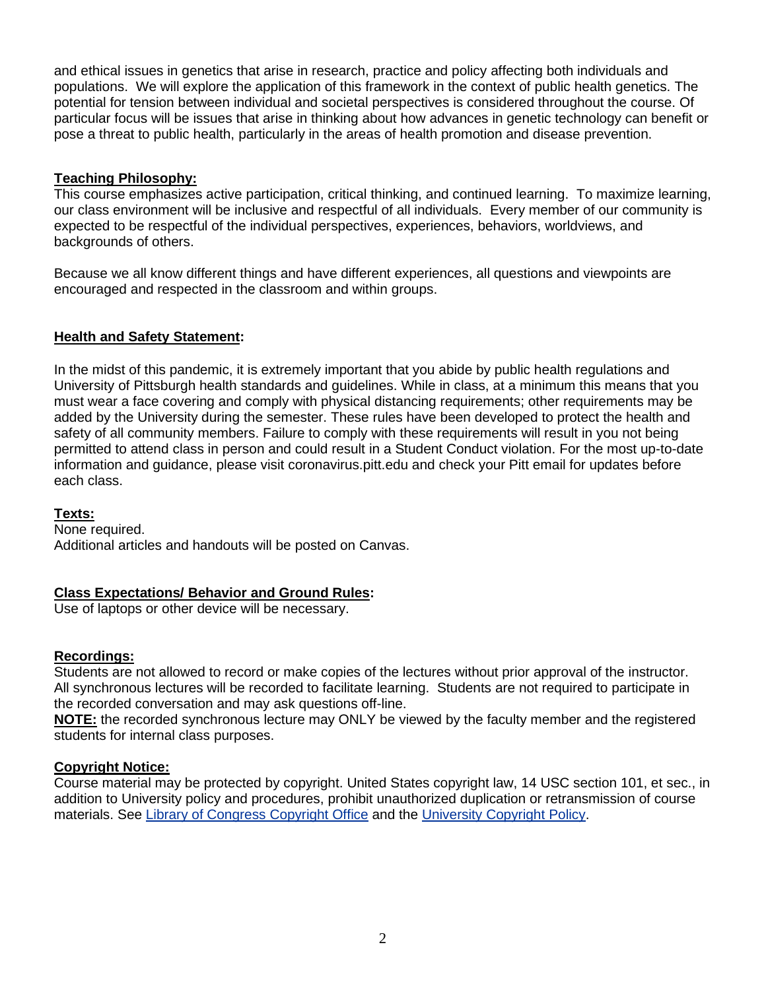and ethical issues in genetics that arise in research, practice and policy affecting both individuals and populations. We will explore the application of this framework in the context of public health genetics. The potential for tension between individual and societal perspectives is considered throughout the course. Of particular focus will be issues that arise in thinking about how advances in genetic technology can benefit or pose a threat to public health, particularly in the areas of health promotion and disease prevention.

### **Teaching Philosophy:**

This course emphasizes active participation, critical thinking, and continued learning. To maximize learning, our class environment will be inclusive and respectful of all individuals. Every member of our community is expected to be respectful of the individual perspectives, experiences, behaviors, worldviews, and backgrounds of others.

Because we all know different things and have different experiences, all questions and viewpoints are encouraged and respected in the classroom and within groups.

### **Health and Safety Statement:**

In the midst of this pandemic, it is extremely important that you abide by public health regulations and University of Pittsburgh health standards and guidelines. While in class, at a minimum this means that you must wear a face covering and comply with physical distancing requirements; other requirements may be added by the University during the semester. These rules have been developed to protect the health and safety of all community members. Failure to comply with these requirements will result in you not being permitted to attend class in person and could result in a Student Conduct violation. For the most up-to-date information and guidance, please visit coronavirus.pitt.edu and check your Pitt email for updates before each class.

### **Texts:**

None required. Additional articles and handouts will be posted on Canvas.

# **Class Expectations/ Behavior and Ground Rules:**

Use of laptops or other device will be necessary.

### **Recordings:**

Students are not allowed to record or make copies of the lectures without prior approval of the instructor. All synchronous lectures will be recorded to facilitate learning. Students are not required to participate in the recorded conversation and may ask questions off-line.

**NOTE:** the recorded synchronous lecture may ONLY be viewed by the faculty member and the registered students for internal class purposes.

### **Copyright Notice:**

Course material may be protected by copyright. United States copyright law, 14 USC section 101, et sec., in addition to University policy and procedures, prohibit unauthorized duplication or retransmission of course materials. See [Library of Congress Copyright Office](http://www.copyright.gov/) and the [University Copyright Policy.](http://www.cfo.pitt.edu/policies/policy/10/10-04-01.html)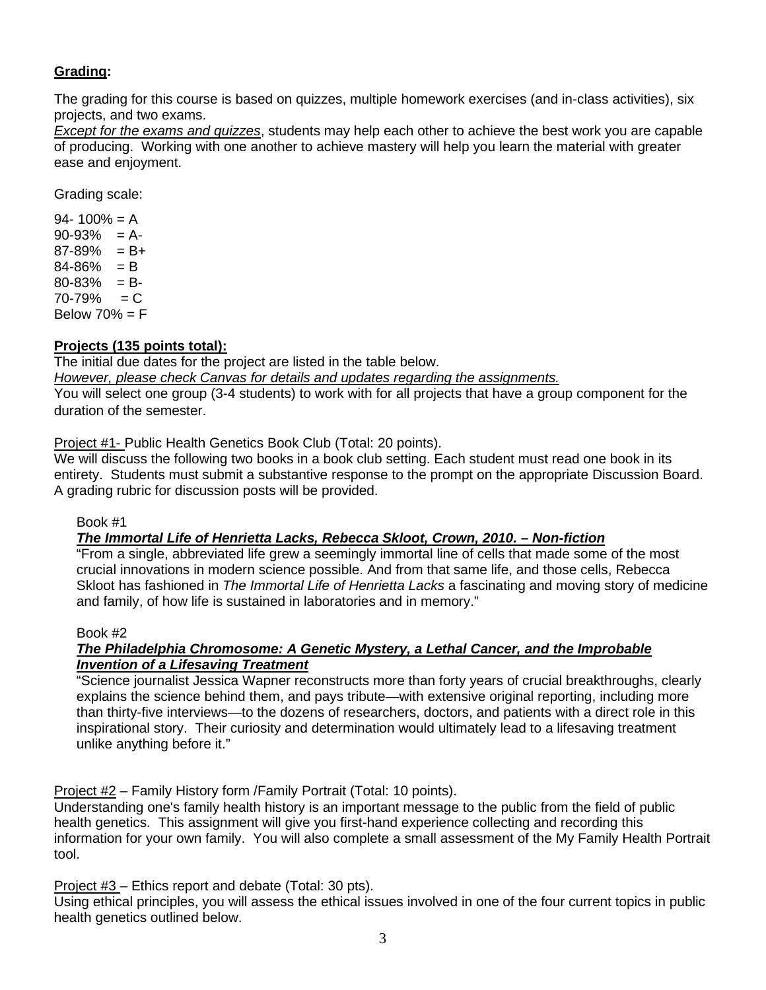# **Grading:**

The grading for this course is based on quizzes, multiple homework exercises (and in-class activities), six projects, and two exams.

*Except for the exams and quizzes*, students may help each other to achieve the best work you are capable of producing. Working with one another to achieve mastery will help you learn the material with greater ease and enjoyment.

Grading scale:

 $94 - 100\% = A$  $90-93% = A$  $87-89\% = B+$  $84 - 86\% = B$  $80-83% = B$  $70 - 79\% = C$ Below  $70% = F$ 

# **Projects (135 points total):**

The initial due dates for the project are listed in the table below.

*However, please check Canvas for details and updates regarding the assignments.* You will select one group (3-4 students) to work with for all projects that have a group component for the duration of the semester.

Project #1- Public Health Genetics Book Club (Total: 20 points).

We will discuss the following two books in a book club setting. Each student must read one book in its entirety. Students must submit a substantive response to the prompt on the appropriate Discussion Board. A grading rubric for discussion posts will be provided.

Book #1

# *The Immortal Life of Henrietta Lacks, Rebecca Skloot, Crown, 2010. – Non-fiction*

"From a single, abbreviated life grew a seemingly immortal line of cells that made some of the most crucial innovations in modern science possible. And from that same life, and those cells, Rebecca Skloot has fashioned in *The Immortal Life of Henrietta Lacks* a fascinating and moving story of medicine and family, of how life is sustained in laboratories and in memory."

### Book #2

### *The Philadelphia Chromosome: A Genetic Mystery, a Lethal Cancer, and the Improbable Invention of a Lifesaving Treatment*

"Science journalist Jessica Wapner reconstructs more than forty years of crucial breakthroughs, clearly explains the science behind them, and pays tribute—with extensive original reporting, including more than thirty-five interviews—to the dozens of researchers, doctors, and patients with a direct role in this inspirational story. Their curiosity and determination would ultimately lead to a lifesaving treatment unlike anything before it."

Project #2 – Family History form /Family Portrait (Total: 10 points).

Understanding one's family health history is an important message to the public from the field of public health genetics. This assignment will give you first-hand experience collecting and recording this information for your own family. You will also complete a small assessment of the My Family Health Portrait tool.

Project #3 – Ethics report and debate (Total: 30 pts).

Using ethical principles, you will assess the ethical issues involved in one of the four current topics in public health genetics outlined below.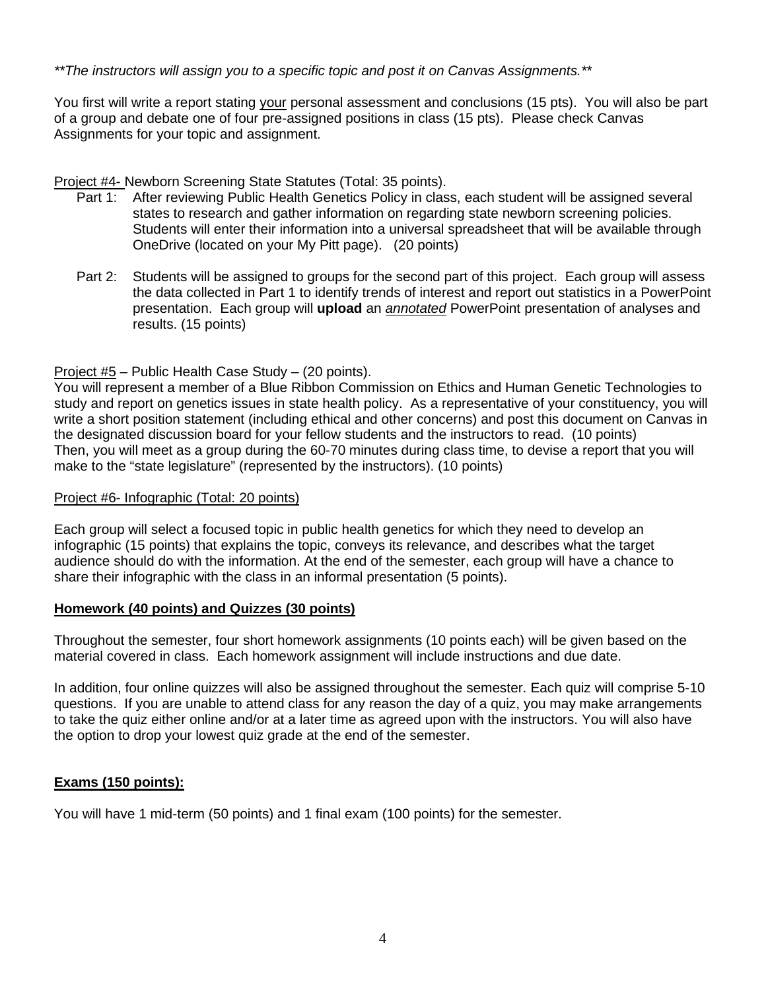*\*\*The instructors will assign you to a specific topic and post it on Canvas Assignments.\*\**

You first will write a report stating your personal assessment and conclusions (15 pts). You will also be part of a group and debate one of four pre-assigned positions in class (15 pts). Please check Canvas Assignments for your topic and assignment.

Project #4- Newborn Screening State Statutes (Total: 35 points).

- Part 1: After reviewing Public Health Genetics Policy in class, each student will be assigned several states to research and gather information on regarding state newborn screening policies. Students will enter their information into a universal spreadsheet that will be available through OneDrive (located on your My Pitt page). (20 points)
- Part 2: Students will be assigned to groups for the second part of this project. Each group will assess the data collected in Part 1 to identify trends of interest and report out statistics in a PowerPoint presentation. Each group will **upload** an *annotated* PowerPoint presentation of analyses and results. (15 points)

# Project #5 – Public Health Case Study – (20 points).

You will represent a member of a Blue Ribbon Commission on Ethics and Human Genetic Technologies to study and report on genetics issues in state health policy. As a representative of your constituency, you will write a short position statement (including ethical and other concerns) and post this document on Canvas in the designated discussion board for your fellow students and the instructors to read. (10 points) Then, you will meet as a group during the 60-70 minutes during class time, to devise a report that you will make to the "state legislature" (represented by the instructors). (10 points)

#### Project #6- Infographic (Total: 20 points)

Each group will select a focused topic in public health genetics for which they need to develop an infographic (15 points) that explains the topic, conveys its relevance, and describes what the target audience should do with the information. At the end of the semester, each group will have a chance to share their infographic with the class in an informal presentation (5 points).

### **Homework (40 points) and Quizzes (30 points)**

Throughout the semester, four short homework assignments (10 points each) will be given based on the material covered in class. Each homework assignment will include instructions and due date.

In addition, four online quizzes will also be assigned throughout the semester. Each quiz will comprise 5-10 questions. If you are unable to attend class for any reason the day of a quiz, you may make arrangements to take the quiz either online and/or at a later time as agreed upon with the instructors. You will also have the option to drop your lowest quiz grade at the end of the semester.

# **Exams (150 points):**

You will have 1 mid-term (50 points) and 1 final exam (100 points) for the semester.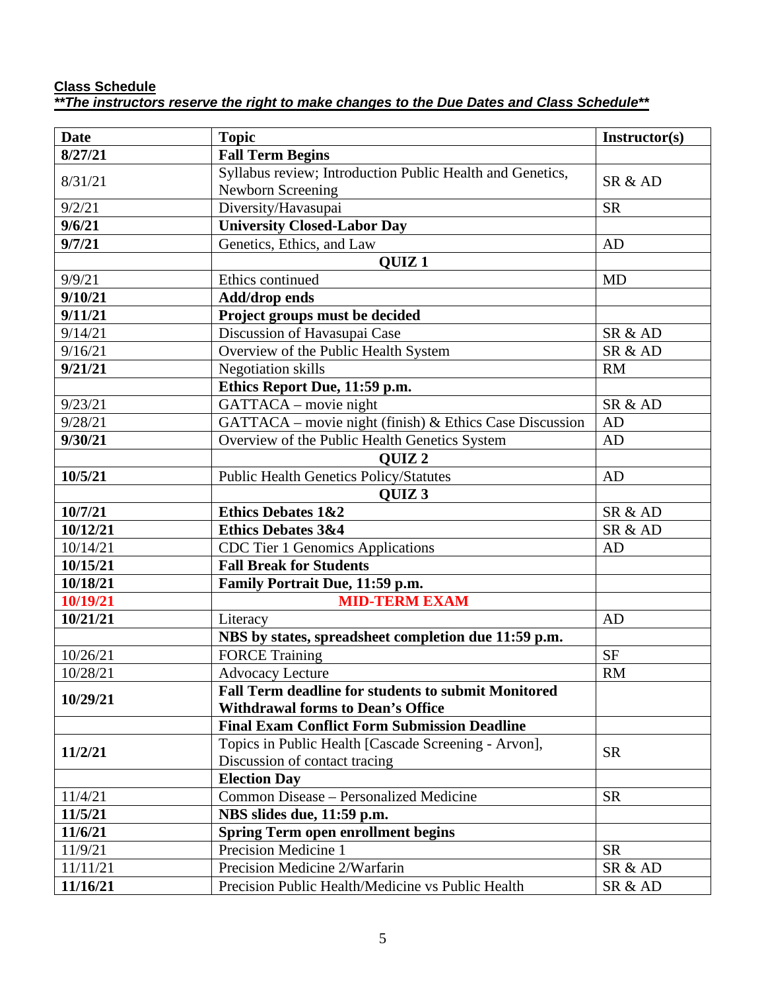#### **Class Schedule**  *\*\*The instructors reserve the right to make changes to the Due Dates and Class Schedule\*\**

| <b>Date</b> | <b>Topic</b>                                               | Instructor(s) |
|-------------|------------------------------------------------------------|---------------|
| 8/27/21     | <b>Fall Term Begins</b>                                    |               |
| 8/31/21     | Syllabus review; Introduction Public Health and Genetics,  | SR & AD       |
|             | Newborn Screening                                          |               |
| 9/2/21      | Diversity/Havasupai                                        | <b>SR</b>     |
| 9/6/21      | <b>University Closed-Labor Day</b>                         |               |
| 9/7/21      | Genetics, Ethics, and Law                                  | AD            |
|             | <b>QUIZ1</b>                                               |               |
| 9/9/21      | Ethics continued                                           | <b>MD</b>     |
| 9/10/21     | <b>Add/drop ends</b>                                       |               |
| 9/11/21     | Project groups must be decided                             |               |
| 9/14/21     | Discussion of Havasupai Case                               | SR & AD       |
| 9/16/21     | Overview of the Public Health System                       | SR & AD       |
| 9/21/21     | <b>Negotiation</b> skills                                  | <b>RM</b>     |
|             | Ethics Report Due, 11:59 p.m.                              |               |
| 9/23/21     | GATTACA – movie night                                      | SR & AD       |
| 9/28/21     | GATTACA - movie night (finish) & Ethics Case Discussion    | AD            |
| 9/30/21     | Overview of the Public Health Genetics System              | AD            |
|             | <b>OUIZ2</b>                                               |               |
| 10/5/21     | <b>Public Health Genetics Policy/Statutes</b>              | AD            |
|             | <b>OUIZ3</b>                                               |               |
| 10/7/21     | <b>Ethics Debates 1&amp;2</b>                              | SR & AD       |
| 10/12/21    | <b>Ethics Debates 3&amp;4</b>                              | SR & AD       |
| 10/14/21    | <b>CDC</b> Tier 1 Genomics Applications                    | AD            |
| 10/15/21    | <b>Fall Break for Students</b>                             |               |
| 10/18/21    | Family Portrait Due, 11:59 p.m.                            |               |
| 10/19/21    | <b>MID-TERM EXAM</b>                                       |               |
| 10/21/21    | Literacy                                                   | AD            |
|             | NBS by states, spreadsheet completion due 11:59 p.m.       |               |
| 10/26/21    | <b>FORCE Training</b>                                      | <b>SF</b>     |
| 10/28/21    | <b>Advocacy Lecture</b>                                    | <b>RM</b>     |
|             | <b>Fall Term deadline for students to submit Monitored</b> |               |
| 10/29/21    | <b>Withdrawal forms to Dean's Office</b>                   |               |
|             | <b>Final Exam Conflict Form Submission Deadline</b>        |               |
| 11/2/21     | Topics in Public Health [Cascade Screening - Arvon],       |               |
|             | Discussion of contact tracing                              | <b>SR</b>     |
|             | <b>Election Day</b>                                        |               |
| 11/4/21     | Common Disease - Personalized Medicine                     | <b>SR</b>     |
| 11/5/21     | NBS slides due, 11:59 p.m.                                 |               |
| 11/6/21     | <b>Spring Term open enrollment begins</b>                  |               |
| 11/9/21     | Precision Medicine 1                                       | <b>SR</b>     |
| 11/11/21    | Precision Medicine 2/Warfarin                              | SR & AD       |
| 11/16/21    | Precision Public Health/Medicine vs Public Health          | SR & AD       |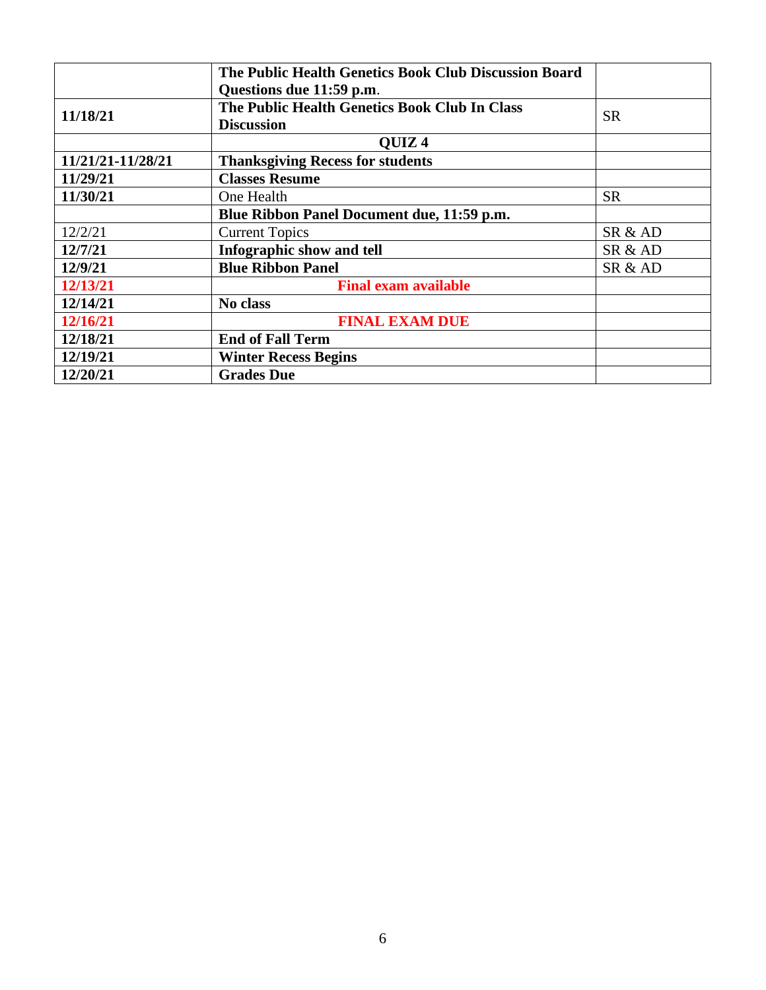|                   | The Public Health Genetics Book Club Discussion Board |           |
|-------------------|-------------------------------------------------------|-----------|
|                   | Questions due 11:59 p.m.                              |           |
| 11/18/21          | The Public Health Genetics Book Club In Class         | <b>SR</b> |
|                   | <b>Discussion</b>                                     |           |
|                   | <b>OUIZ4</b>                                          |           |
| 11/21/21-11/28/21 | <b>Thanksgiving Recess for students</b>               |           |
| 11/29/21          | <b>Classes Resume</b>                                 |           |
| 11/30/21          | One Health                                            | <b>SR</b> |
|                   | Blue Ribbon Panel Document due, 11:59 p.m.            |           |
| 12/2/21           | <b>Current Topics</b>                                 | SR & AD   |
| 12/7/21           | Infographic show and tell                             | SR & AD   |
| 12/9/21           | <b>Blue Ribbon Panel</b>                              | SR & AD   |
| 12/13/21          | <b>Final exam available</b>                           |           |
| 12/14/21          | No class                                              |           |
| 12/16/21          | <b>FINAL EXAM DUE</b>                                 |           |
| 12/18/21          | <b>End of Fall Term</b>                               |           |
| 12/19/21          | <b>Winter Recess Begins</b>                           |           |
| 12/20/21          | <b>Grades Due</b>                                     |           |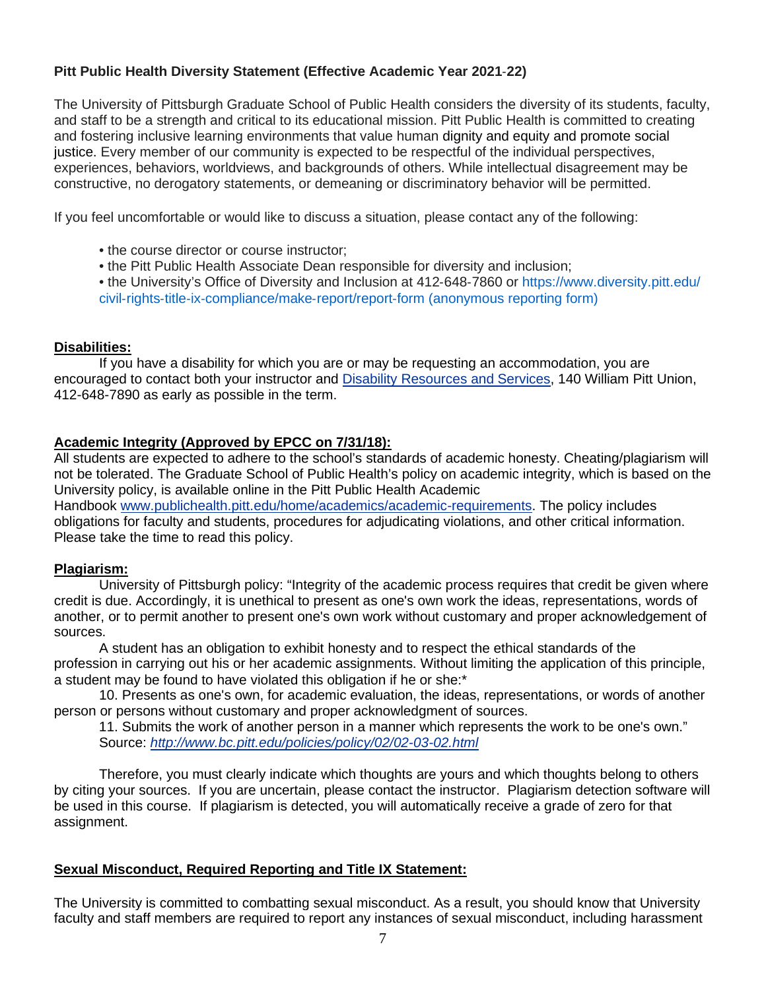# **Pitt Public Health Diversity Statement (Effective Academic Year 2021**‐**22)**

The University of Pittsburgh Graduate School of Public Health considers the diversity of its students, faculty, and staff to be a strength and critical to its educational mission. Pitt Public Health is committed to creating and fostering inclusive learning environments that value human dignity and equity and promote social justice. Every member of our community is expected to be respectful of the individual perspectives, experiences, behaviors, worldviews, and backgrounds of others. While intellectual disagreement may be constructive, no derogatory statements, or demeaning or discriminatory behavior will be permitted.

If you feel uncomfortable or would like to discuss a situation, please contact any of the following:

- the course director or course instructor:
- the Pitt Public Health Associate Dean responsible for diversity and inclusion;
- the University's Office of Diversity and Inclusion at 412-648-7860 or https://www.diversity.pitt.edu/ civil‐rights‐title‐ix‐compliance/make‐report/report‐form (anonymous reporting form)

### **Disabilities:**

If you have a disability for which you are or may be requesting an accommodation, you are encouraged to contact both your instructor and [Disability Resources and Services,](http://www.drs.pitt.edu/) 140 William Pitt Union, 412-648-7890 as early as possible in the term.

### **Academic Integrity (Approved by EPCC on 7/31/18):**

All students are expected to adhere to the school's standards of academic honesty. Cheating/plagiarism will not be tolerated. The Graduate School of Public Health's policy on academic integrity, which is based on the University policy, is available online in the Pitt Public Health Academic

Handbook [www.publichealth.pitt.edu/home/academics/academic-requirements.](https://na01.safelinks.protection.outlook.com/?url=http%3A%2F%2Fwww.publichealth.pitt.edu%2Fhome%2Facademics%2Facademic-requirements&data=01%7C01%7CRobin.Leaf%40pitt.edu%7Cd2b682f8df1344a1488b08d5f7078713%7C9ef9f489e0a04eeb87cc3a526112fd0d%7C1&sdata=6ufA2nSlUetTPqxC3zE70WlE7mLMvNKznCNB7nQHwj0%3D&reserved=0) The policy includes obligations for faculty and students, procedures for adjudicating violations, and other critical information. Please take the time to read this policy.

#### **Plagiarism:**

University of Pittsburgh policy: "Integrity of the academic process requires that credit be given where credit is due. Accordingly, it is unethical to present as one's own work the ideas, representations, words of another, or to permit another to present one's own work without customary and proper acknowledgement of sources.

A student has an obligation to exhibit honesty and to respect the ethical standards of the profession in carrying out his or her academic assignments. Without limiting the application of this principle, a student may be found to have violated this obligation if he or she:\*

10. Presents as one's own, for academic evaluation, the ideas, representations, or words of another person or persons without customary and proper acknowledgment of sources.

11. Submits the work of another person in a manner which represents the work to be one's own." Source: *<http://www.bc.pitt.edu/policies/policy/02/02-03-02.html>*

Therefore, you must clearly indicate which thoughts are yours and which thoughts belong to others by citing your sources. If you are uncertain, please contact the instructor. Plagiarism detection software will be used in this course. If plagiarism is detected, you will automatically receive a grade of zero for that assignment.

### **Sexual Misconduct, Required Reporting and Title IX Statement:**

The University is committed to combatting sexual misconduct. As a result, you should know that University faculty and staff members are required to report any instances of sexual misconduct, including harassment